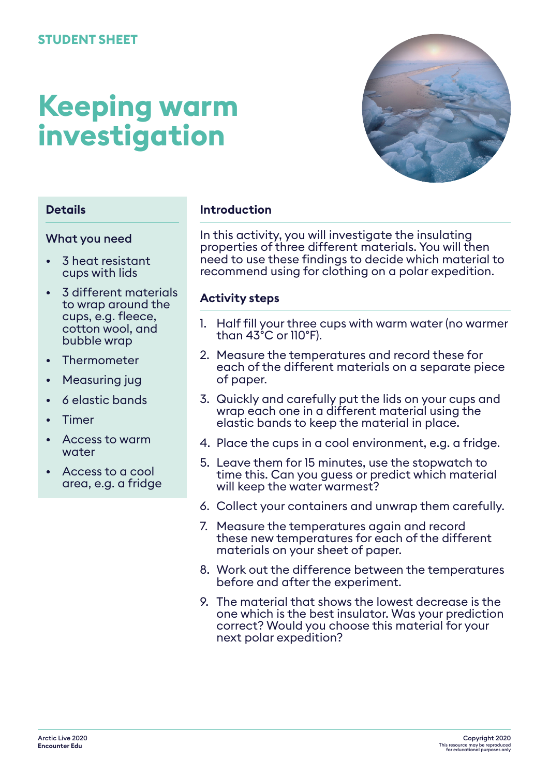# **Keeping warm investigation**



## **Details**

#### What you need

- 3 heat resistant cups with lids
- 3 different materials to wrap around the cups, e.g. fleece, cotton wool, and bubble wrap
- **Thermometer**
- Measuring jug
- 6 elastic bands
- Timer
- Access to warm water
- Access to a cool area, e.g. a fridge

#### **Introduction**

In this activity, you will investigate the insulating properties of three different materials. You will then need to use these findings to decide which material to recommend using for clothing on a polar expedition.

#### **Activity steps**

- 1. Half fill your three cups with warm water (no warmer than 43°C or 110°F).
- 2. Measure the temperatures and record these for each of the different materials on a separate piece of paper.
- 3. Quickly and carefully put the lids on your cups and wrap each one in a different material using the elastic bands to keep the material in place.
- 4. Place the cups in a cool environment, e.g. a fridge.
- 5. Leave them for 15 minutes, use the stopwatch to time this. Can you guess or predict which material will keep the water warmest?
- 6. Collect your containers and unwrap them carefully.
- 7. Measure the temperatures again and record these new temperatures for each of the different materials on your sheet of paper.
- 8. Work out the difference between the temperatures before and after the experiment.
- 9. The material that shows the lowest decrease is the one which is the best insulator. Was your prediction correct? Would you choose this material for your next polar expedition?